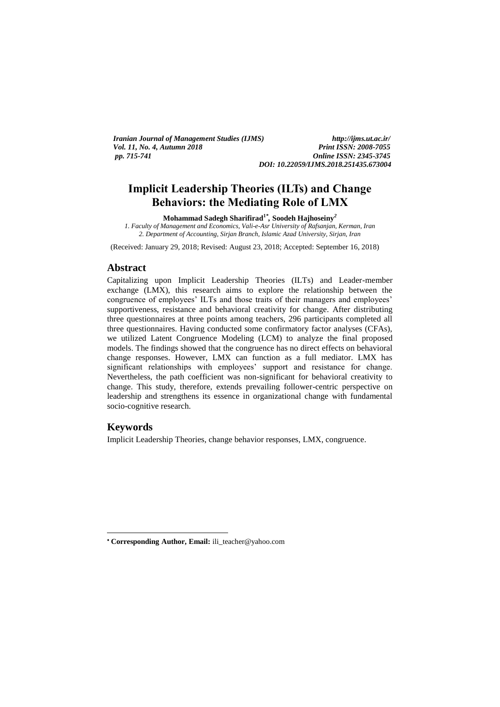*Iranian Journal of Management Studies (IJMS) http://ijms.ut.ac.ir/ Vol. 11, No. 4, Autumn 2018 pp. 715-741 Online ISSN: 2345-3745*

*DOI: 10.22059/IJMS.2018.251435.673004*

# **Implicit Leadership Theories (ILTs) and Change Behaviors: the Mediating Role of LMX**

**Mohammad Sadegh Sharifirad<sup>1</sup>***\* ,* **Soodeh Hajhoseiny***<sup>2</sup>*

*1. Faculty of Management and Economics, Vali-e-Asr University of Rafsanjan, Kerman, Iran 2. Department of Accounting, Sirjan Branch, Islamic Azad University, Sirjan, Iran*

(Received: January 29, 2018; Revised: August 23, 2018; Accepted: September 16, 2018)

#### **Abstract**

Capitalizing upon Implicit Leadership Theories (ILTs) and Leader-member exchange (LMX), this research aims to explore the relationship between the congruence of employees' ILTs and those traits of their managers and employees' supportiveness, resistance and behavioral creativity for change. After distributing three questionnaires at three points among teachers, 296 participants completed all three questionnaires. Having conducted some confirmatory factor analyses (CFAs), we utilized Latent Congruence Modeling (LCM) to analyze the final proposed models. The findings showed that the congruence has no direct effects on behavioral change responses. However, LMX can function as a full mediator. LMX has significant relationships with employees' support and resistance for change. Nevertheless, the path coefficient was non-significant for behavioral creativity to change. This study, therefore, extends prevailing follower-centric perspective on leadership and strengthens its essence in organizational change with fundamental socio-cognitive research.

### **Keywords**

**.** 

Implicit Leadership Theories, change behavior responses, LMX, congruence.

**Corresponding Author, Email:** ili\_teacher@yahoo.com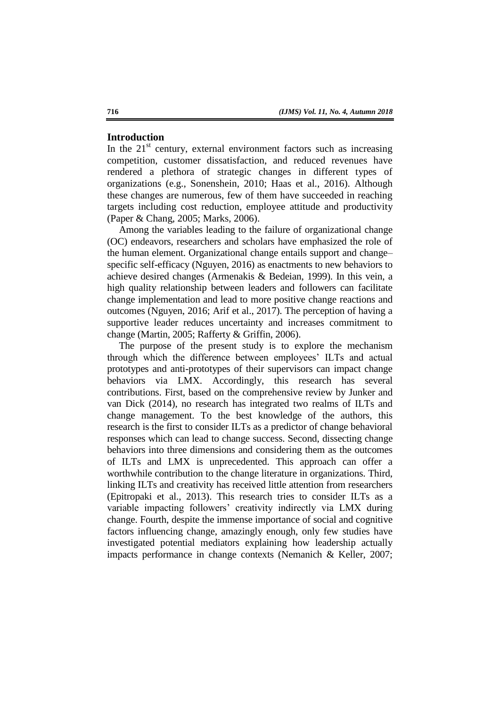#### **Introduction**

In the  $21<sup>st</sup>$  century, external environment factors such as increasing competition, customer dissatisfaction, and reduced revenues have rendered a plethora of strategic changes in different types of organizations (e.g., Sonenshein, 2010; Haas et al., 2016). Although these changes are numerous, few of them have succeeded in reaching targets including cost reduction, employee attitude and productivity (Paper & Chang, 2005; Marks, 2006).

Among the variables leading to the failure of organizational change (OC) endeavors, researchers and scholars have emphasized the role of the human element. Organizational change entails support and change– specific self-efficacy (Nguyen, 2016) as enactments to new behaviors to achieve desired changes (Armenakis & Bedeian, 1999). In this vein, a high quality relationship between leaders and followers can facilitate change implementation and lead to more positive change reactions and outcomes (Nguyen, 2016; Arif et al., 2017). The perception of having a supportive leader reduces uncertainty and increases commitment to change (Martin, 2005; Rafferty & Griffin, 2006).

The purpose of the present study is to explore the mechanism through which the difference between employees' ILTs and actual prototypes and anti-prototypes of their supervisors can impact change behaviors via LMX. Accordingly, this research has several contributions. First, based on the comprehensive review by Junker and van Dick (2014), no research has integrated two realms of ILTs and change management. To the best knowledge of the authors, this research is the first to consider ILTs as a predictor of change behavioral responses which can lead to change success. Second, dissecting change behaviors into three dimensions and considering them as the outcomes of ILTs and LMX is unprecedented. This approach can offer a worthwhile contribution to the change literature in organizations. Third, linking ILTs and creativity has received little attention from researchers (Epitropaki et al., 2013). This research tries to consider ILTs as a variable impacting followers' creativity indirectly via LMX during change. Fourth, despite the immense importance of social and cognitive factors influencing change, amazingly enough, only few studies have investigated potential mediators explaining how leadership actually impacts performance in change contexts (Nemanich & Keller, 2007;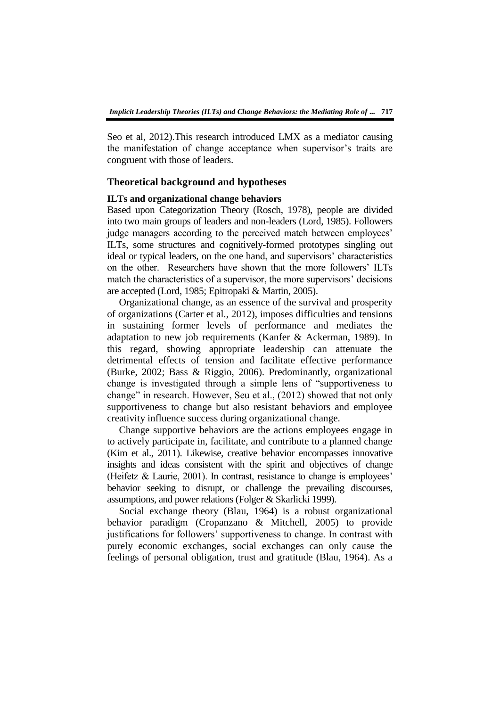Seo et al, 2012).This research introduced LMX as a mediator causing the manifestation of change acceptance when supervisor's traits are congruent with those of leaders.

#### **Theoretical background and hypotheses**

### **ILTs and organizational change behaviors**

Based upon Categorization Theory (Rosch, 1978), people are divided into two main groups of leaders and non-leaders (Lord, 1985). Followers judge managers according to the perceived match between employees' ILTs, some structures and cognitively-formed prototypes singling out ideal or typical leaders, on the one hand, and supervisors' characteristics on the other. Researchers have shown that the more followers' ILTs match the characteristics of a supervisor, the more supervisors' decisions are accepted (Lord, 1985; Epitropaki & Martin, 2005).

Organizational change, as an essence of the survival and prosperity of organizations (Carter et al., 2012), imposes difficulties and tensions in sustaining former levels of performance and mediates the adaptation to new job requirements (Kanfer & Ackerman, 1989). In this regard, showing appropriate leadership can attenuate the detrimental effects of tension and facilitate effective performance (Burke, 2002; Bass & Riggio, 2006). Predominantly, organizational change is investigated through a simple lens of "supportiveness to change" in research. However, Seu et al., (2012) showed that not only supportiveness to change but also resistant behaviors and employee creativity influence success during organizational change.

Change supportive behaviors are the actions employees engage in to actively participate in, facilitate, and contribute to a planned change (Kim et al., 2011). Likewise, creative behavior encompasses innovative insights and ideas consistent with the spirit and objectives of change (Heifetz & Laurie, 2001). In contrast, resistance to change is employees' behavior seeking to disrupt, or challenge the prevailing discourses, assumptions, and power relations (Folger & Skarlicki 1999).

Social exchange theory (Blau, 1964) is a robust organizational behavior paradigm (Cropanzano & Mitchell, 2005) to provide justifications for followers' supportiveness to change. In contrast with purely economic exchanges, social exchanges can only cause the feelings of personal obligation, trust and gratitude (Blau, 1964). As a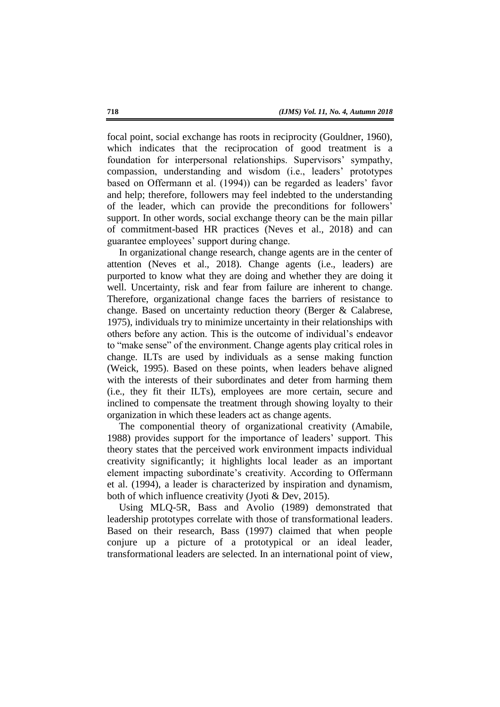focal point, social exchange has roots in reciprocity (Gouldner, 1960), which indicates that the reciprocation of good treatment is a foundation for interpersonal relationships. Supervisors' sympathy, compassion, understanding and wisdom (i.e., leaders' prototypes based on Offermann et al. (1994)) can be regarded as leaders' favor and help; therefore, followers may feel indebted to the understanding of the leader, which can provide the preconditions for followers' support. In other words, social exchange theory can be the main pillar of commitment-based HR practices (Neves et al., 2018) and can guarantee employees' support during change.

In organizational change research, change agents are in the center of attention (Neves et al., 2018). Change agents (i.e., leaders) are purported to know what they are doing and whether they are doing it well. Uncertainty, risk and fear from failure are inherent to change. Therefore, organizational change faces the barriers of resistance to change. Based on uncertainty reduction theory (Berger & Calabrese, 1975), individuals try to minimize uncertainty in their relationships with others before any action. This is the outcome of individual's endeavor to "make sense" of the environment. Change agents play critical roles in change. ILTs are used by individuals as a sense making function (Weick, 1995). Based on these points, when leaders behave aligned with the interests of their subordinates and deter from harming them (i.e., they fit their ILTs), employees are more certain, secure and inclined to compensate the treatment through showing loyalty to their organization in which these leaders act as change agents.

The componential theory of organizational creativity (Amabile, 1988) provides support for the importance of leaders' support. This theory states that the perceived work environment impacts individual creativity significantly; it highlights local leader as an important element impacting subordinate's creativity. According to Offermann et al. (1994), a leader is characterized by inspiration and dynamism, both of which influence creativity (Jyoti & Dev, 2015).

Using MLQ-5R, Bass and Avolio (1989) demonstrated that leadership prototypes correlate with those of transformational leaders. Based on their research, Bass (1997) claimed that when people conjure up a picture of a prototypical or an ideal leader, transformational leaders are selected. In an international point of view,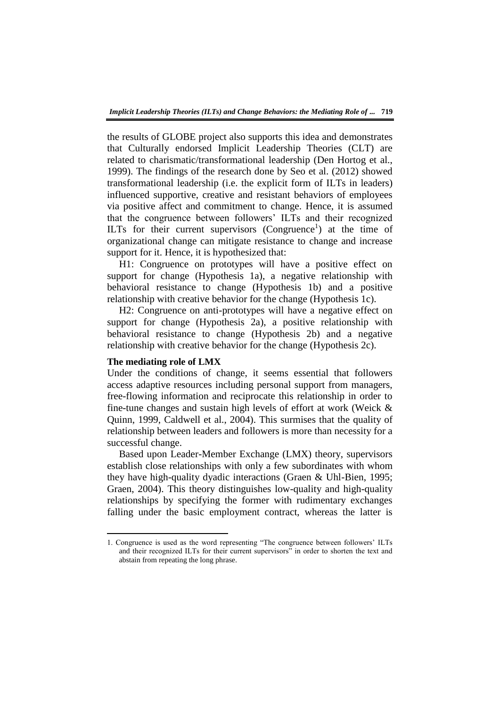the results of GLOBE project also supports this idea and demonstrates that Culturally endorsed Implicit Leadership Theories (CLT) are related to charismatic/transformational leadership (Den Hortog et al., 1999). The findings of the research done by Seo et al. (2012) showed transformational leadership (i.e. the explicit form of ILTs in leaders) influenced supportive, creative and resistant behaviors of employees via positive affect and commitment to change. Hence, it is assumed that the congruence between followers' ILTs and their recognized ILTs for their current supervisors (Congruence<sup>1</sup>) at the time of organizational change can mitigate resistance to change and increase support for it. Hence, it is hypothesized that:

H1: Congruence on prototypes will have a positive effect on support for change (Hypothesis 1a), a negative relationship with behavioral resistance to change (Hypothesis 1b) and a positive relationship with creative behavior for the change (Hypothesis 1c).

H2: Congruence on anti-prototypes will have a negative effect on support for change (Hypothesis 2a), a positive relationship with behavioral resistance to change (Hypothesis 2b) and a negative relationship with creative behavior for the change (Hypothesis 2c).

### **The mediating role of LMX**

**.** 

Under the conditions of change, it seems essential that followers access adaptive resources including personal support from managers, free-flowing information and reciprocate this relationship in order to fine-tune changes and sustain high levels of effort at work (Weick & Quinn, 1999, Caldwell et al., 2004). This surmises that the quality of relationship between leaders and followers is more than necessity for a successful change.

Based upon Leader-Member Exchange (LMX) theory, supervisors establish close relationships with only a few subordinates with whom they have high-quality dyadic interactions (Graen & Uhl-Bien, 1995; Graen, 2004). This theory distinguishes low-quality and high-quality relationships by specifying the former with rudimentary exchanges falling under the basic employment contract, whereas the latter is

<sup>1.</sup> Congruence is used as the word representing "The congruence between followers' ILTs and their recognized ILTs for their current supervisors" in order to shorten the text and abstain from repeating the long phrase.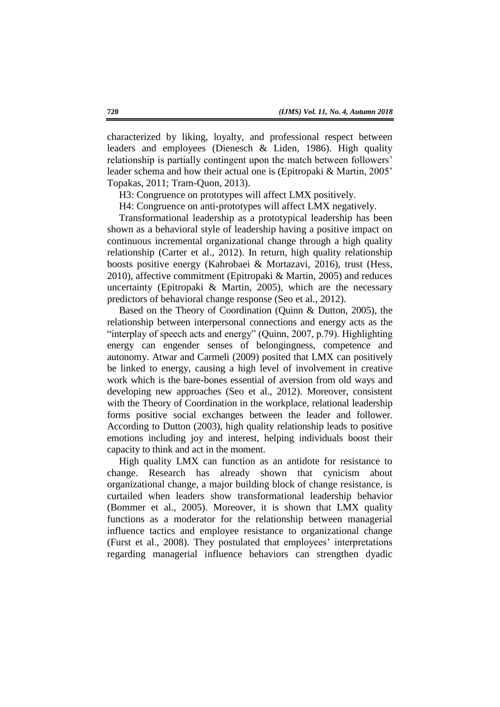characterized by liking, loyalty, and professional respect between leaders and employees (Dienesch & Liden, 1986). High quality relationship is partially contingent upon the match between followers' leader schema and how their actual one is (Epitropaki & Martin, 2005' Topakas, 2011; Tram-Quon, 2013).

H3: Congruence on prototypes will affect LMX positively.

H4: Congruence on anti-prototypes will affect LMX negatively.

Transformational leadership as a prototypical leadership has been shown as a behavioral style of leadership having a positive impact on continuous incremental organizational change through a high quality relationship (Carter et al., 2012). In return, high quality relationship boosts positive energy (Kahrobaei & Mortazavi, 2016), trust (Hess, 2010), affective commitment (Epitropaki & Martin, 2005) and reduces uncertainty (Epitropaki & Martin, 2005), which are the necessary predictors of behavioral change response (Seo et al., 2012).

Based on the Theory of Coordination (Quinn & Dutton, 2005), the relationship between interpersonal connections and energy acts as the "interplay of speech acts and energy" (Quinn, 2007, p.79). Highlighting energy can engender senses of belongingness, competence and autonomy. Atwar and Carmeli (2009) posited that LMX can positively be linked to energy, causing a high level of involvement in creative work which is the bare-bones essential of aversion from old ways and developing new approaches (Seo et al., 2012). Moreover, consistent with the Theory of Coordination in the workplace, relational leadership forms positive social exchanges between the leader and follower. According to Dutton (2003), high quality relationship leads to positive emotions including joy and interest, helping individuals boost their capacity to think and act in the moment.

High quality LMX can function as an antidote for resistance to change. Research has already shown that cynicism about organizational change, a major building block of change resistance, is curtailed when leaders show transformational leadership behavior (Bommer et al., 2005). Moreover, it is shown that LMX quality functions as a moderator for the relationship between managerial influence tactics and employee resistance to organizational change (Furst et al., 2008). They postulated that employees' interpretations regarding managerial influence behaviors can strengthen dyadic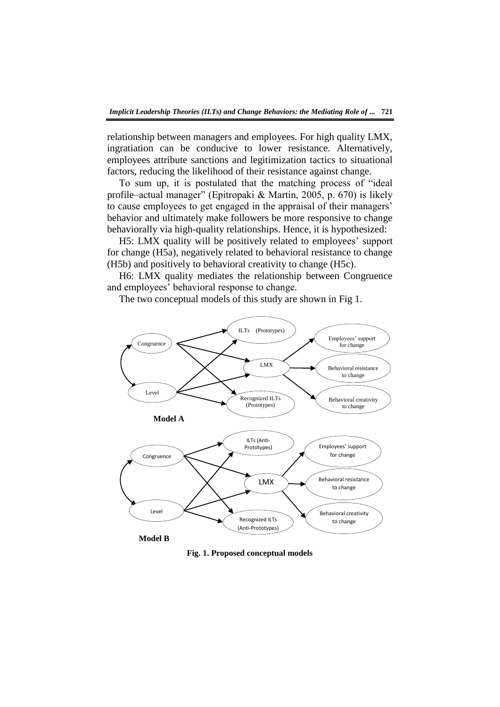relationship between managers and employees. For high quality LMX, ingratiation can be conducive to lower resistance. Alternatively, employees attribute sanctions and legitimization tactics to situational factors, reducing the likelihood of their resistance against change.

To sum up, it is postulated that the matching process of "ideal" profile–actual manager" (Epitropaki & Martin, 2005, p. 670) is likely to cause employees to get engaged in the appraisal of their managers' behavior and ultimately make followers be more responsive to change behaviorally via high-quality relationships. Hence, it is hypothesized:

H5: LMX quality will be positively related to employees' support for change (H5a), negatively related to behavioral resistance to change (H5b) and positively to behavioral creativity to change (H5c).

H6: LMX quality mediates the relationship between Congruence and employees' behavioral response to change.

The two conceptual models of this study are shown in Fig 1.



**Fig. 1. Proposed conceptual models**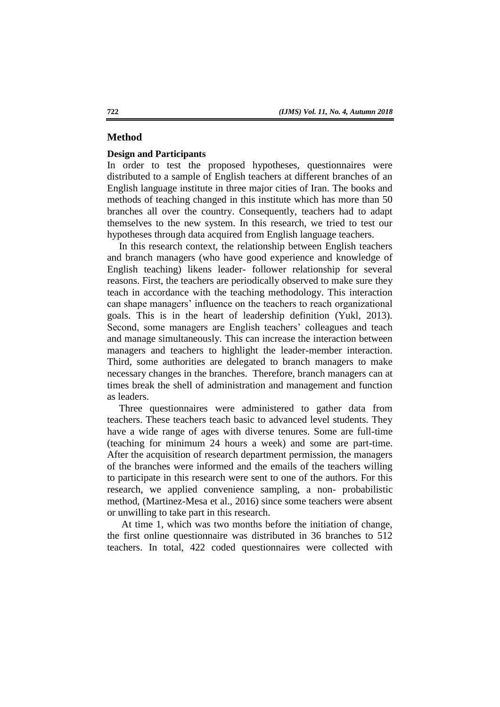### **Method**

#### **Design and Participants**

In order to test the proposed hypotheses, questionnaires were distributed to a sample of English teachers at different branches of an English language institute in three major cities of Iran. The books and methods of teaching changed in this institute which has more than 50 branches all over the country. Consequently, teachers had to adapt themselves to the new system. In this research, we tried to test our hypotheses through data acquired from English language teachers.

In this research context, the relationship between English teachers and branch managers (who have good experience and knowledge of English teaching) likens leader- follower relationship for several reasons. First, the teachers are periodically observed to make sure they teach in accordance with the teaching methodology. This interaction can shape managers' influence on the teachers to reach organizational goals. This is in the heart of leadership definition (Yukl, 2013). Second, some managers are English teachers' colleagues and teach and manage simultaneously. This can increase the interaction between managers and teachers to highlight the leader-member interaction. Third, some authorities are delegated to branch managers to make necessary changes in the branches. Therefore, branch managers can at times break the shell of administration and management and function as leaders.

Three questionnaires were administered to gather data from teachers. These teachers teach basic to advanced level students. They have a wide range of ages with diverse tenures. Some are full-time (teaching for minimum 24 hours a week) and some are part-time. After the acquisition of research department permission, the managers of the branches were informed and the emails of the teachers willing to participate in this research were sent to one of the authors. For this research, we applied convenience sampling, a non- probabilistic method, (Martinez-Mesa et al., 2016) since some teachers were absent or unwilling to take part in this research.

At time 1, which was two months before the initiation of change, the first online questionnaire was distributed in 36 branches to 512 teachers. In total, 422 coded questionnaires were collected with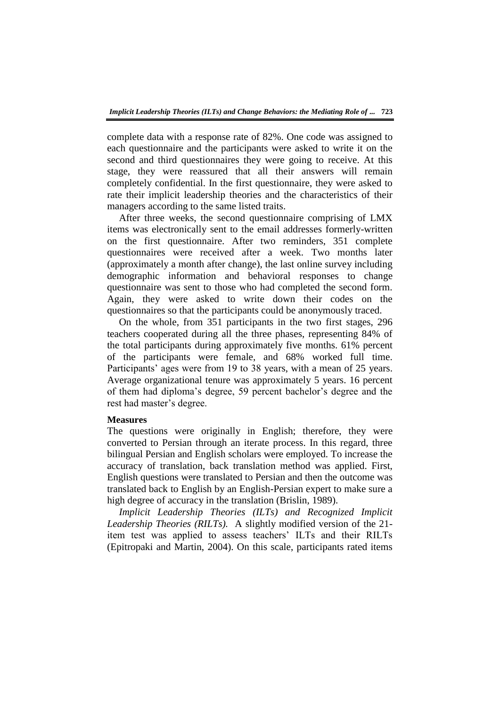complete data with a response rate of 82%. One code was assigned to each questionnaire and the participants were asked to write it on the second and third questionnaires they were going to receive. At this stage, they were reassured that all their answers will remain completely confidential. In the first questionnaire, they were asked to rate their implicit leadership theories and the characteristics of their managers according to the same listed traits.

After three weeks, the second questionnaire comprising of LMX items was electronically sent to the email addresses formerly-written on the first questionnaire. After two reminders, 351 complete questionnaires were received after a week. Two months later (approximately a month after change), the last online survey including demographic information and behavioral responses to change questionnaire was sent to those who had completed the second form. Again, they were asked to write down their codes on the questionnaires so that the participants could be anonymously traced.

On the whole, from 351 participants in the two first stages, 296 teachers cooperated during all the three phases, representing 84% of the total participants during approximately five months. 61% percent of the participants were female, and 68% worked full time. Participants' ages were from 19 to 38 years, with a mean of 25 years. Average organizational tenure was approximately 5 years. 16 percent of them had diploma's degree, 59 percent bachelor's degree and the rest had master's degree.

### **Measures**

The questions were originally in English; therefore, they were converted to Persian through an iterate process. In this regard, three bilingual Persian and English scholars were employed. To increase the accuracy of translation, back translation method was applied. First, English questions were translated to Persian and then the outcome was translated back to English by an English-Persian expert to make sure a high degree of accuracy in the translation (Brislin, 1989).

*Implicit Leadership Theories (ILTs) and Recognized Implicit Leadership Theories (RILTs).* A slightly modified version of the 21 item test was applied to assess teachers' ILTs and their RILTs (Epitropaki and Martin, 2004). On this scale, participants rated items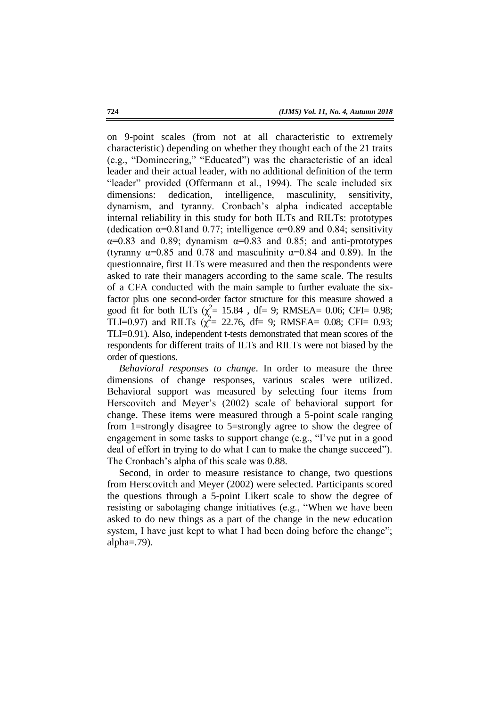on 9-point scales (from not at all characteristic to extremely characteristic) depending on whether they thought each of the 21 traits (e.g., "Domineering," "Educated") was the characteristic of an ideal leader and their actual leader, with no additional definition of the term "leader" provided (Offermann et al., 1994). The scale included six dimensions: dedication, intelligence, masculinity, sensitivity, dynamism, and tyranny. Cronbach's alpha indicated acceptable internal reliability in this study for both ILTs and RILTs: prototypes (dedication  $\alpha$ =0.81 and 0.77; intelligence  $\alpha$ =0.89 and 0.84; sensitivity  $\alpha$ =0.83 and 0.89; dynamism  $\alpha$ =0.83 and 0.85; and anti-prototypes (tyranny  $\alpha$ =0.85 and 0.78 and masculinity  $\alpha$ =0.84 and 0.89). In the questionnaire, first ILTs were measured and then the respondents were asked to rate their managers according to the same scale. The results of a CFA conducted with the main sample to further evaluate the sixfactor plus one second-order factor structure for this measure showed a good fit for both ILTs  $(\chi^2 = 15.84$ , df= 9; RMSEA= 0.06; CFI= 0.98; TLI=0.97) and RILTs  $\chi^2$  = 22.76, df = 9; RMSEA = 0.08; CFI = 0.93; TLI=0.91). Also, independent t-tests demonstrated that mean scores of the respondents for different traits of ILTs and RILTs were not biased by the order of questions.

*Behavioral responses to change*. In order to measure the three dimensions of change responses, various scales were utilized. Behavioral support was measured by selecting four items from Herscovitch and Meyer's (2002) scale of behavioral support for change. These items were measured through a 5-point scale ranging from 1=strongly disagree to 5=strongly agree to show the degree of engagement in some tasks to support change (e.g., "I've put in a good deal of effort in trying to do what I can to make the change succeed"). The Cronbach's alpha of this scale was 0.88.

Second, in order to measure resistance to change, two questions from Herscovitch and Meyer (2002) were selected. Participants scored the questions through a 5-point Likert scale to show the degree of resisting or sabotaging change initiatives (e.g., "When we have been asked to do new things as a part of the change in the new education system, I have just kept to what I had been doing before the change"; alpha $=$ .79).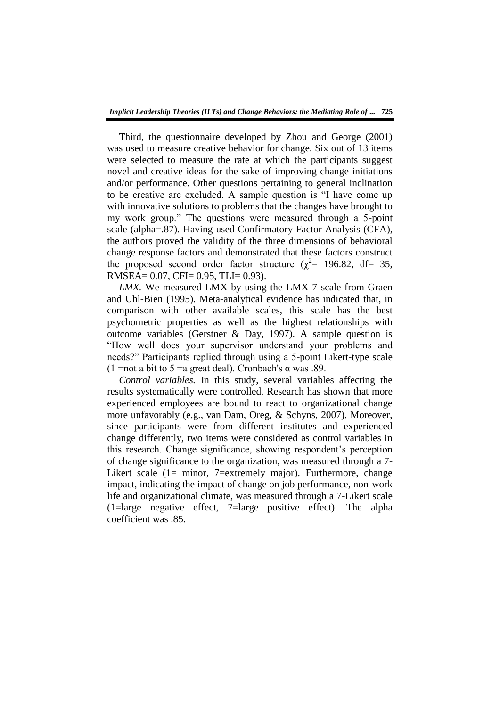Third, the questionnaire developed by Zhou and George (2001) was used to measure creative behavior for change. Six out of 13 items were selected to measure the rate at which the participants suggest novel and creative ideas for the sake of improving change initiations and/or performance. Other questions pertaining to general inclination to be creative are excluded. A sample question is "I have come up with innovative solutions to problems that the changes have brought to my work group." The questions were measured through a 5-point scale (alpha=.87). Having used Confirmatory Factor Analysis (CFA), the authors proved the validity of the three dimensions of behavioral change response factors and demonstrated that these factors construct the proposed second order factor structure ( $\chi^2$  = 196.82, df = 35, RMSEA= 0.07, CFI= 0.95, TLI= 0.93).

*LMX.* We measured LMX by using the LMX 7 scale from Graen and Uhl-Bien (1995). Meta-analytical evidence has indicated that, in comparison with other available scales, this scale has the best psychometric properties as well as the highest relationships with outcome variables (Gerstner & Day, 1997). A sample question is ―How well does your supervisor understand your problems and needs?" Participants replied through using a 5-point Likert-type scale (1 = not a bit to 5 = a great deal). Cronbach's  $\alpha$  was .89.

*Control variables.* In this study, several variables affecting the results systematically were controlled. Research has shown that more experienced employees are bound to react to organizational change more unfavorably (e.g., van Dam, Oreg, & Schyns, 2007). Moreover, since participants were from different institutes and experienced change differently, two items were considered as control variables in this research. Change significance, showing respondent's perception of change significance to the organization, was measured through a 7- Likert scale (1= minor, 7=extremely major). Furthermore, change impact, indicating the impact of change on job performance, non-work life and organizational climate, was measured through a 7-Likert scale (1=large negative effect, 7=large positive effect). The alpha coefficient was .85.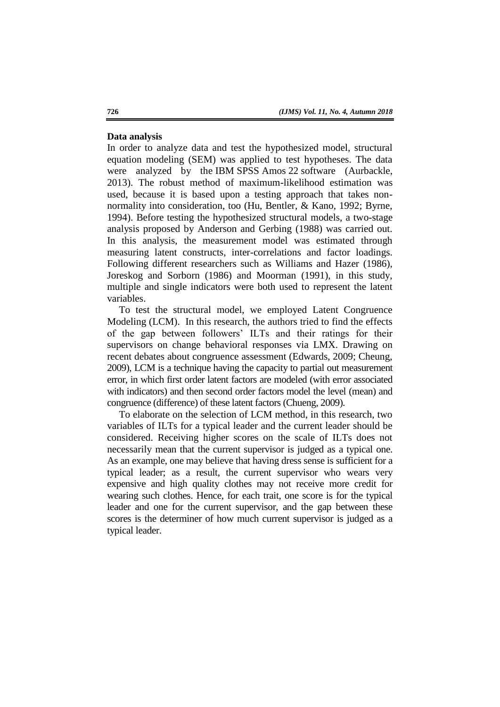#### **Data analysis**

In order to analyze data and test the hypothesized model, structural equation modeling (SEM) was applied to test hypotheses. The data were analyzed by the IBM SPSS Amos 22 software (Aurbackle, 2013). The robust method of maximum-likelihood estimation was used, because it is based upon a testing approach that takes nonnormality into consideration, too (Hu, Bentler, & Kano, 1992; Byrne, 1994). Before testing the hypothesized structural models, a two-stage analysis proposed by Anderson and Gerbing (1988) was carried out. In this analysis, the measurement model was estimated through measuring latent constructs, inter-correlations and factor loadings. Following different researchers such as Williams and Hazer (1986), Joreskog and Sorborn (1986) and Moorman (1991), in this study, multiple and single indicators were both used to represent the latent variables.

To test the structural model, we employed Latent Congruence Modeling (LCM). In this research, the authors tried to find the effects of the gap between followers' ILTs and their ratings for their supervisors on change behavioral responses via LMX. Drawing on recent debates about congruence assessment (Edwards, 2009; Cheung, 2009), LCM is a technique having the capacity to partial out measurement error, in which first order latent factors are modeled (with error associated with indicators) and then second order factors model the level (mean) and congruence (difference) of these latent factors (Chueng, 2009).

To elaborate on the selection of LCM method, in this research, two variables of ILTs for a typical leader and the current leader should be considered. Receiving higher scores on the scale of ILTs does not necessarily mean that the current supervisor is judged as a typical one. As an example, one may believe that having dress sense is sufficient for a typical leader; as a result, the current supervisor who wears very expensive and high quality clothes may not receive more credit for wearing such clothes. Hence, for each trait, one score is for the typical leader and one for the current supervisor, and the gap between these scores is the determiner of how much current supervisor is judged as a typical leader.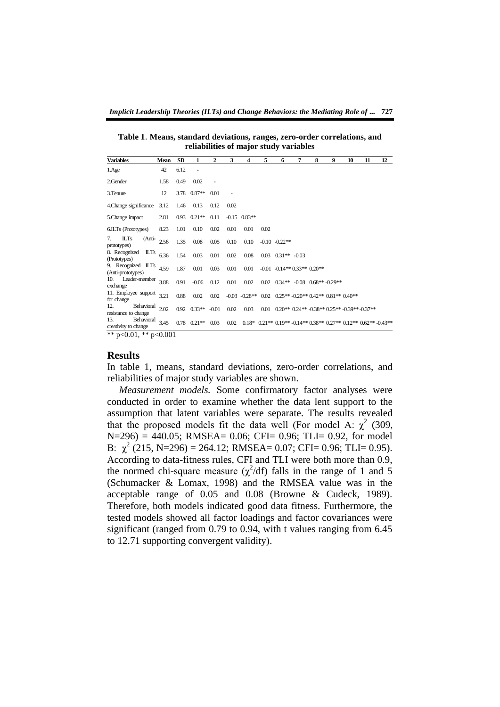**Table 1**. **Means, standard deviations, ranges, zero-order correlations, and reliabilities of major study variables**

| Mean                         | <b>SD</b> | $\mathbf{1}$ | $\mathbf{2}$                   | 3                                            | 4    | 5              | 6 | 7 | 8                                          | 9 | 10                            | 11                                                                                                         | 12                                                                                                                                                   |
|------------------------------|-----------|--------------|--------------------------------|----------------------------------------------|------|----------------|---|---|--------------------------------------------|---|-------------------------------|------------------------------------------------------------------------------------------------------------|------------------------------------------------------------------------------------------------------------------------------------------------------|
| 42                           | 6.12      | ٠            |                                |                                              |      |                |   |   |                                            |   |                               |                                                                                                            |                                                                                                                                                      |
| 1.58                         | 0.49      | 0.02         |                                |                                              |      |                |   |   |                                            |   |                               |                                                                                                            |                                                                                                                                                      |
| 12                           |           |              | 0.01                           | ٠                                            |      |                |   |   |                                            |   |                               |                                                                                                            |                                                                                                                                                      |
| 3.12                         | 1.46      | 0.13         | 0.12                           | 0.02                                         |      |                |   |   |                                            |   |                               |                                                                                                            |                                                                                                                                                      |
| 2.81                         |           |              | 0.11                           |                                              |      |                |   |   |                                            |   |                               |                                                                                                            |                                                                                                                                                      |
| 8.23                         | 1.01      | 0.10         | 0.02                           | 0.01                                         | 0.01 | 0.02           |   |   |                                            |   |                               |                                                                                                            |                                                                                                                                                      |
| (Anti-<br>2.56               | 1.35      | 0.08         | 0.05                           | 0.10                                         | 0.10 |                |   |   |                                            |   |                               |                                                                                                            |                                                                                                                                                      |
| ILTs<br>6.36                 | 1.54      | 0.03         | 0.01                           | 0.02                                         | 0.08 |                |   |   |                                            |   |                               |                                                                                                            |                                                                                                                                                      |
| 9. Recognized ILTs<br>4.59   | 1.87      | 0.01         | 0.03                           | 0.01                                         | 0.01 |                |   |   |                                            |   |                               |                                                                                                            |                                                                                                                                                      |
| Leader-member<br>3.88        | 0.91      | $-0.06$      | 0.12                           | 0.01                                         | 0.02 |                |   |   |                                            |   |                               |                                                                                                            |                                                                                                                                                      |
| 11. Employee support<br>3.21 | 0.88      | 0.02         | 0.02                           |                                              |      |                |   |   |                                            |   |                               |                                                                                                            |                                                                                                                                                      |
| Behavioral<br>2.02           |           |              | $-0.01$                        | 0.02                                         | 0.03 |                |   |   |                                            |   |                               |                                                                                                            |                                                                                                                                                      |
| Behavioral<br>3.45           |           |              |                                | 0.02                                         |      |                |   |   |                                            |   |                               |                                                                                                            |                                                                                                                                                      |
|                              |           | 0.001        | 3.78 0.87**<br>$0.93$ $0.21**$ | $0.92 \quad 0.33***$<br>$0.78$ $0.21**$ 0.03 |      | $-0.15$ 0.83** |   |   | $-0.10$ $-0.22**$<br>$0.03$ $0.31**$ -0.03 |   | $-0.01$ $-0.14**0.33**0.20**$ | $0.02$ $0.34**$ $-0.08$ $0.68**$ $-0.29**$<br>$-0.03$ $-0.28**$ 0.02 0.25** $-0.20**$ 0.42** 0.81** 0.40** | $0.01$ $0.20**$ $0.24**$ $-0.38**$ $0.25**$ $-0.39**$ $-0.37**$<br>$0.18*$ $0.21**$ $0.19**$ $-0.14**$ $0.38**$ $0.27**$ $0.12**$ $0.62**$ $-0.43**$ |

\*\*  $p<0.01$ , \*\*  $p<0.001$ 

#### **Results**

In table 1, means, standard deviations, zero-order correlations, and reliabilities of major study variables are shown.

*Measurement models.* Some confirmatory factor analyses were conducted in order to examine whether the data lent support to the assumption that latent variables were separate. The results revealed that the proposed models fit the data well (For model A:  $\chi^2$  (309,  $N=296$  = 440.05; RMSEA= 0.06; CFI= 0.96; TLI= 0.92, for model B:  $\chi^2$  (215, N=296) = 264.12; RMSEA= 0.07; CFI= 0.96; TLI= 0.95). According to data-fitness rules, CFI and TLI were both more than 0.9, the normed chi-square measure  $(\chi^2/df)$  falls in the range of 1 and 5 (Schumacker & Lomax, 1998) and the RMSEA value was in the acceptable range of 0.05 and 0.08 (Browne & Cudeck, 1989). Therefore, both models indicated good data fitness. Furthermore, the tested models showed all factor loadings and factor covariances were significant (ranged from 0.79 to 0.94, with t values ranging from 6.45 to 12.71 supporting convergent validity).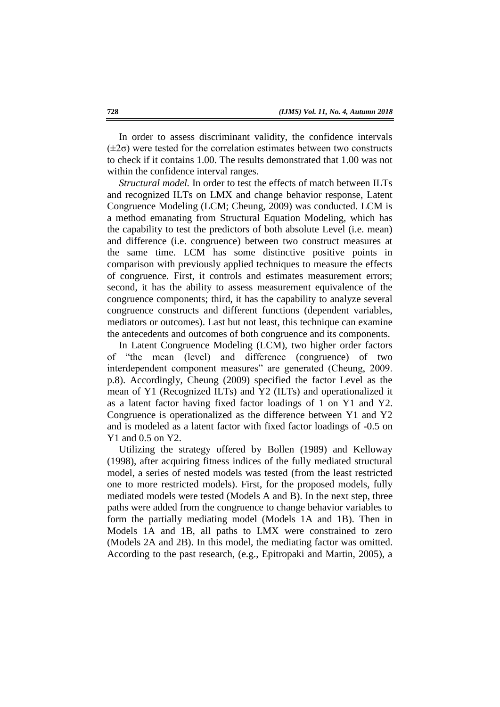In order to assess discriminant validity, the confidence intervals  $(\pm 2\sigma)$  were tested for the correlation estimates between two constructs to check if it contains 1.00. The results demonstrated that 1.00 was not within the confidence interval ranges.

*Structural model.* In order to test the effects of match between ILTs and recognized ILTs on LMX and change behavior response, Latent Congruence Modeling (LCM; Cheung, 2009) was conducted. LCM is a method emanating from Structural Equation Modeling, which has the capability to test the predictors of both absolute Level (i.e. mean) and difference (i.e. congruence) between two construct measures at the same time. LCM has some distinctive positive points in comparison with previously applied techniques to measure the effects of congruence. First, it controls and estimates measurement errors; second, it has the ability to assess measurement equivalence of the congruence components; third, it has the capability to analyze several congruence constructs and different functions (dependent variables, mediators or outcomes). Last but not least, this technique can examine the antecedents and outcomes of both congruence and its components.

In Latent Congruence Modeling (LCM), two higher order factors of "the mean (level) and difference (congruence) of two interdependent component measures" are generated (Cheung, 2009. p.8). Accordingly, Cheung (2009) specified the factor Level as the mean of Y1 (Recognized ILTs) and Y2 (ILTs) and operationalized it as a latent factor having fixed factor loadings of 1 on Y1 and Y2. Congruence is operationalized as the difference between Y1 and Y2 and is modeled as a latent factor with fixed factor loadings of -0.5 on Y1 and 0.5 on Y2.

Utilizing the strategy offered by Bollen (1989) and Kelloway (1998), after acquiring fitness indices of the fully mediated structural model, a series of nested models was tested (from the least restricted one to more restricted models). First, for the proposed models, fully mediated models were tested (Models A and B). In the next step, three paths were added from the congruence to change behavior variables to form the partially mediating model (Models 1A and 1B). Then in Models 1A and 1B, all paths to LMX were constrained to zero (Models 2A and 2B). In this model, the mediating factor was omitted. According to the past research, (e.g., Epitropaki and Martin, 2005), a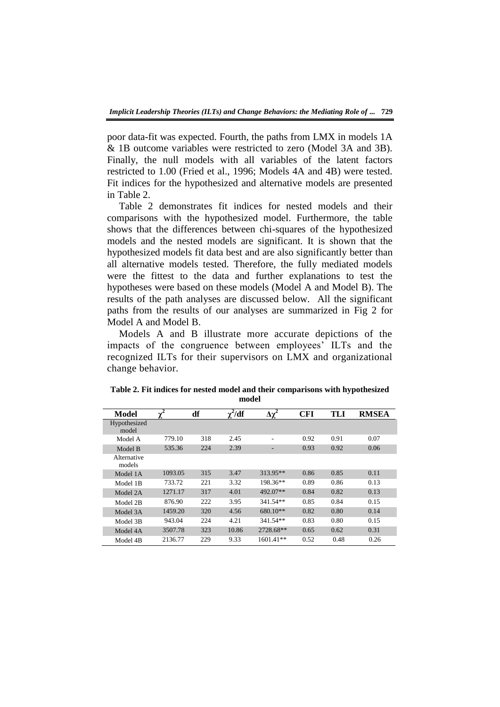poor data-fit was expected. Fourth, the paths from LMX in models 1A & 1B outcome variables were restricted to zero (Model 3A and 3B). Finally, the null models with all variables of the latent factors restricted to 1.00 (Fried et al., 1996; Models 4A and 4B) were tested. Fit indices for the hypothesized and alternative models are presented in Table 2.

Table 2 demonstrates fit indices for nested models and their comparisons with the hypothesized model. Furthermore, the table shows that the differences between chi-squares of the hypothesized models and the nested models are significant. It is shown that the hypothesized models fit data best and are also significantly better than all alternative models tested. Therefore, the fully mediated models were the fittest to the data and further explanations to test the hypotheses were based on these models (Model A and Model B). The results of the path analyses are discussed below. All the significant paths from the results of our analyses are summarized in Fig 2 for Model A and Model B.

Models A and B illustrate more accurate depictions of the impacts of the congruence between employees' ILTs and the recognized ILTs for their supervisors on LMX and organizational change behavior.

| Model                 | 2<br>ν  | df  | $\gamma^2/df$ | $\overline{\Delta\chi^2}$ | CFI  | <b>TLI</b> | <b>RMSEA</b> |
|-----------------------|---------|-----|---------------|---------------------------|------|------------|--------------|
| Hypothesized<br>model |         |     |               |                           |      |            |              |
| Model A               | 779.10  | 318 | 2.45          | ٠                         | 0.92 | 0.91       | 0.07         |
| Model B               | 535.36  | 224 | 2.39          | -                         | 0.93 | 0.92       | 0.06         |
| Alternative<br>models |         |     |               |                           |      |            |              |
| Model 1A              | 1093.05 | 315 | 3.47          | 313.95**                  | 0.86 | 0.85       | 0.11         |
| Model 1B              | 733.72  | 221 | 3.32          | 198.36**                  | 0.89 | 0.86       | 0.13         |
| Model 2A              | 1271.17 | 317 | 4.01          | 492.07**                  | 0.84 | 0.82       | 0.13         |
| Model 2B              | 876.90  | 222 | 3.95          | $341.54**$                | 0.85 | 0.84       | 0.15         |
| Model 3A              | 1459.20 | 320 | 4.56          | 680.10**                  | 0.82 | 0.80       | 0.14         |
| Model 3B              | 943.04  | 224 | 4.21          | $341.54**$                | 0.83 | 0.80       | 0.15         |
| Model 4A              | 3507.78 | 323 | 10.86         | 2728.68**                 | 0.65 | 0.62       | 0.31         |
| Model 4B              | 2136.77 | 229 | 9.33          | $1601.41**$               | 0.52 | 0.48       | 0.26         |

**Table 2. Fit indices for nested model and their comparisons with hypothesized model**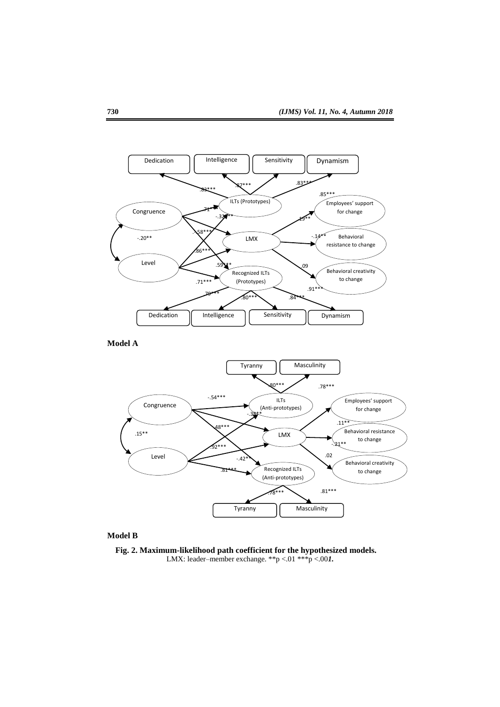

**Model A**



#### **Model B**

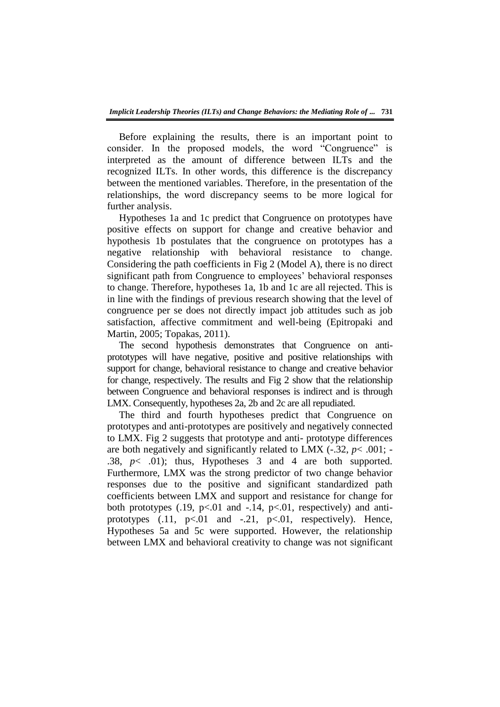Before explaining the results, there is an important point to consider. In the proposed models, the word "Congruence" is interpreted as the amount of difference between ILTs and the recognized ILTs. In other words, this difference is the discrepancy between the mentioned variables. Therefore, in the presentation of the relationships, the word discrepancy seems to be more logical for further analysis.

Hypotheses 1a and 1c predict that Congruence on prototypes have positive effects on support for change and creative behavior and hypothesis 1b postulates that the congruence on prototypes has a negative relationship with behavioral resistance to change. Considering the path coefficients in Fig 2 (Model A), there is no direct significant path from Congruence to employees' behavioral responses to change. Therefore, hypotheses 1a, 1b and 1c are all rejected. This is in line with the findings of previous research showing that the level of congruence per se does not directly impact job attitudes such as job satisfaction, affective commitment and well-being (Epitropaki and Martin, 2005; Topakas, 2011).

The second hypothesis demonstrates that Congruence on antiprototypes will have negative, positive and positive relationships with support for change, behavioral resistance to change and creative behavior for change, respectively. The results and Fig 2 show that the relationship between Congruence and behavioral responses is indirect and is through LMX. Consequently, hypotheses 2a, 2b and 2c are all repudiated.

The third and fourth hypotheses predict that Congruence on prototypes and anti-prototypes are positively and negatively connected to LMX. Fig 2 suggests that prototype and anti- prototype differences are both negatively and significantly related to LMX  $(-.32, p<.001; -$ .38,  $p<$  .01); thus, Hypotheses 3 and 4 are both supported. Furthermore, LMX was the strong predictor of two change behavior responses due to the positive and significant standardized path coefficients between LMX and support and resistance for change for both prototypes  $(.19, p<.01$  and  $-.14, p<.01$ , respectively) and antiprototypes  $(.11, p<.01$  and  $-.21, p<.01$ , respectively). Hence, Hypotheses 5a and 5c were supported. However, the relationship between LMX and behavioral creativity to change was not significant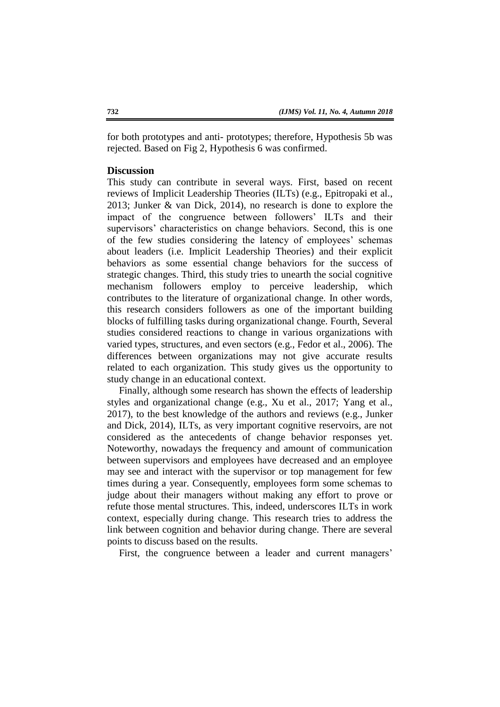for both prototypes and anti- prototypes; therefore, Hypothesis 5b was rejected. Based on Fig 2, Hypothesis 6 was confirmed.

### **Discussion**

This study can contribute in several ways. First, based on recent reviews of Implicit Leadership Theories (ILTs) (e.g., Epitropaki et al., 2013; Junker & van Dick, 2014), no research is done to explore the impact of the congruence between followers' ILTs and their supervisors' characteristics on change behaviors. Second, this is one of the few studies considering the latency of employees' schemas about leaders (i.e. Implicit Leadership Theories) and their explicit behaviors as some essential change behaviors for the success of strategic changes. Third, this study tries to unearth the social cognitive mechanism followers employ to perceive leadership, which contributes to the literature of organizational change. In other words, this research considers followers as one of the important building blocks of fulfilling tasks during organizational change. Fourth, Several studies considered reactions to change in various organizations with varied types, structures, and even sectors (e.g., Fedor et al., 2006). The differences between organizations may not give accurate results related to each organization. This study gives us the opportunity to study change in an educational context.

Finally, although some research has shown the effects of leadership styles and organizational change (e.g., Xu et al., 2017; Yang et al., 2017), to the best knowledge of the authors and reviews (e.g., Junker and Dick, 2014), ILTs, as very important cognitive reservoirs, are not considered as the antecedents of change behavior responses yet. Noteworthy, nowadays the frequency and amount of communication between supervisors and employees have decreased and an employee may see and interact with the supervisor or top management for few times during a year. Consequently, employees form some schemas to judge about their managers without making any effort to prove or refute those mental structures. This, indeed, underscores ILTs in work context, especially during change. This research tries to address the link between cognition and behavior during change. There are several points to discuss based on the results.

First, the congruence between a leader and current managers'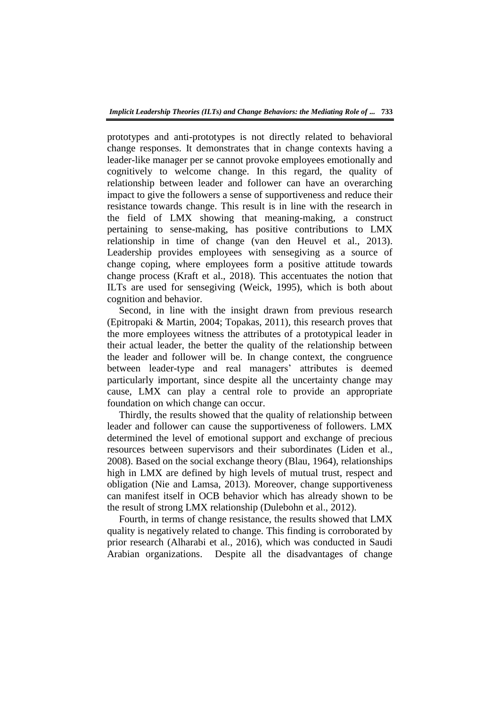prototypes and anti-prototypes is not directly related to behavioral change responses. It demonstrates that in change contexts having a leader-like manager per se cannot provoke employees emotionally and cognitively to welcome change. In this regard, the quality of relationship between leader and follower can have an overarching impact to give the followers a sense of supportiveness and reduce their resistance towards change. This result is in line with the research in the field of LMX showing that meaning-making, a construct pertaining to sense-making, has positive contributions to LMX relationship in time of change (van den Heuvel et al., 2013). Leadership provides employees with sensegiving as a source of change coping, where employees form a positive attitude towards change process (Kraft et al., 2018). This accentuates the notion that ILTs are used for sensegiving (Weick, 1995), which is both about cognition and behavior.

Second, in line with the insight drawn from previous research (Epitropaki & Martin, 2004; Topakas, 2011), this research proves that the more employees witness the attributes of a prototypical leader in their actual leader, the better the quality of the relationship between the leader and follower will be. In change context, the congruence between leader-type and real managers' attributes is deemed particularly important, since despite all the uncertainty change may cause, LMX can play a central role to provide an appropriate foundation on which change can occur.

Thirdly, the results showed that the quality of relationship between leader and follower can cause the supportiveness of followers. LMX determined the level of emotional support and exchange of precious resources between supervisors and their subordinates (Liden et al., 2008). Based on the social exchange theory (Blau, 1964), relationships high in LMX are defined by high levels of mutual trust, respect and obligation (Nie and Lamsa, 2013). Moreover, change supportiveness can manifest itself in OCB behavior which has already shown to be the result of strong LMX relationship (Dulebohn et al., 2012).

Fourth, in terms of change resistance, the results showed that LMX quality is negatively related to change. This finding is corroborated by prior research (Alharabi et al., 2016), which was conducted in Saudi Arabian organizations. Despite all the disadvantages of change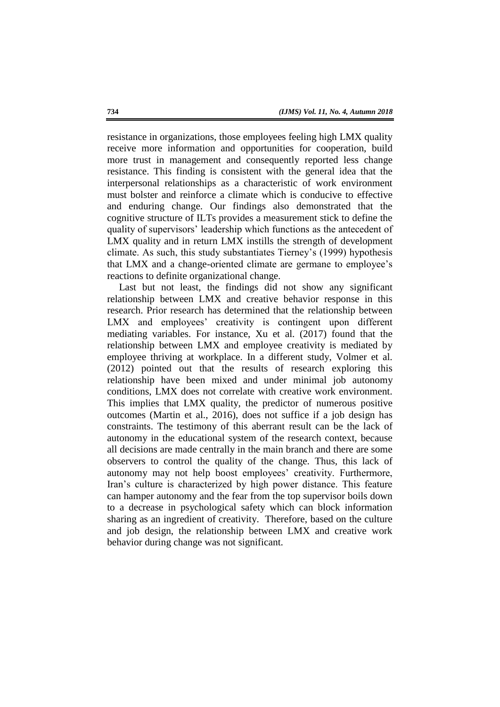resistance in organizations, those employees feeling high LMX quality receive more information and opportunities for cooperation, build more trust in management and consequently reported less change resistance. This finding is consistent with the general idea that the interpersonal relationships as a characteristic of work environment must bolster and reinforce a climate which is conducive to effective and enduring change. Our findings also demonstrated that the cognitive structure of ILTs provides a measurement stick to define the quality of supervisors' leadership which functions as the antecedent of LMX quality and in return LMX instills the strength of development climate. As such, this study substantiates Tierney's (1999) hypothesis that LMX and a change-oriented climate are germane to employee's reactions to definite organizational change.

Last but not least, the findings did not show any significant relationship between LMX and creative behavior response in this research. Prior research has determined that the relationship between LMX and employees' creativity is contingent upon different mediating variables. For instance, Xu et al. (2017) found that the relationship between LMX and employee creativity is mediated by employee thriving at workplace. In a different study, Volmer et al. (2012) pointed out that the results of research exploring this relationship have been mixed and under minimal job autonomy conditions, LMX does not correlate with creative work environment. This implies that LMX quality, the predictor of numerous positive outcomes (Martin et al., 2016), does not suffice if a job design has constraints. The testimony of this aberrant result can be the lack of autonomy in the educational system of the research context, because all decisions are made centrally in the main branch and there are some observers to control the quality of the change. Thus, this lack of autonomy may not help boost employees' creativity. Furthermore, Iran's culture is characterized by high power distance. This feature can hamper autonomy and the fear from the top supervisor boils down to a decrease in psychological safety which can block information sharing as an ingredient of creativity. Therefore, based on the culture and job design, the relationship between LMX and creative work behavior during change was not significant.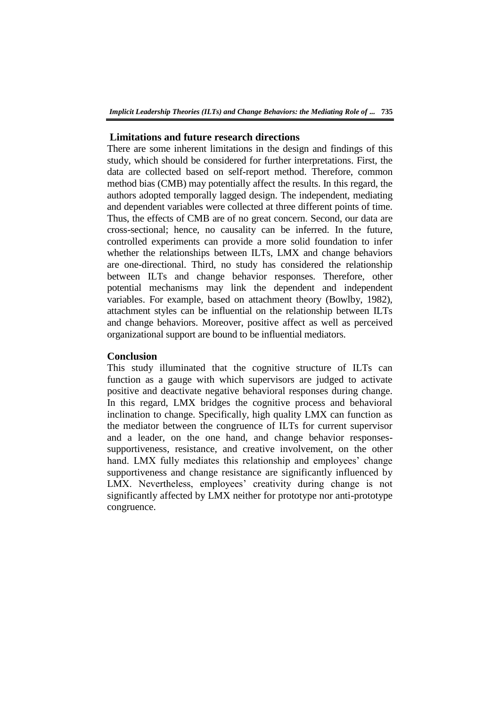## **Limitations and future research directions**

There are some inherent limitations in the design and findings of this study, which should be considered for further interpretations. First, the data are collected based on self-report method. Therefore, common method bias (CMB) may potentially affect the results. In this regard, the authors adopted temporally lagged design. The independent, mediating and dependent variables were collected at three different points of time. Thus, the effects of CMB are of no great concern. Second, our data are cross-sectional; hence, no causality can be inferred. In the future, controlled experiments can provide a more solid foundation to infer whether the relationships between ILTs, LMX and change behaviors are one-directional. Third, no study has considered the relationship between ILTs and change behavior responses. Therefore, other potential mechanisms may link the dependent and independent variables. For example, based on attachment theory (Bowlby, 1982), attachment styles can be influential on the relationship between ILTs and change behaviors. Moreover, positive affect as well as perceived organizational support are bound to be influential mediators.

### **Conclusion**

This study illuminated that the cognitive structure of ILTs can function as a gauge with which supervisors are judged to activate positive and deactivate negative behavioral responses during change. In this regard, LMX bridges the cognitive process and behavioral inclination to change. Specifically, high quality LMX can function as the mediator between the congruence of ILTs for current supervisor and a leader, on the one hand, and change behavior responsessupportiveness, resistance, and creative involvement, on the other hand. LMX fully mediates this relationship and employees' change supportiveness and change resistance are significantly influenced by LMX. Nevertheless, employees' creativity during change is not significantly affected by LMX neither for prototype nor anti-prototype congruence.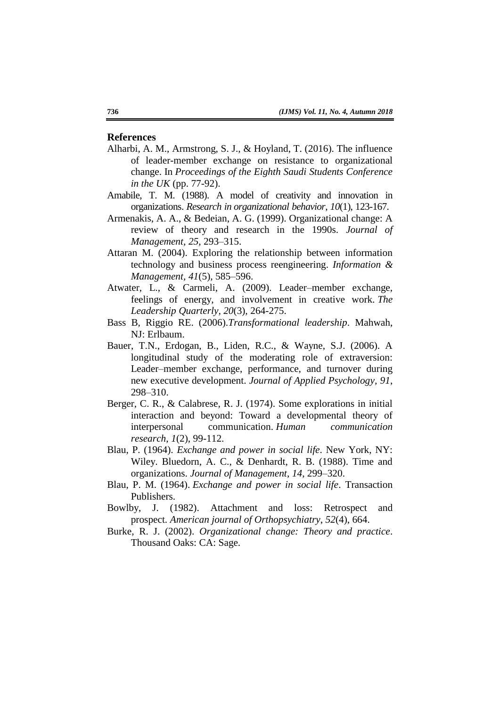### **References**

- Alharbi, A. M., Armstrong, S. J., & Hoyland, T. (2016). The influence of leader-member exchange on resistance to organizational change. In *Proceedings of the Eighth Saudi Students Conference in the UK* (pp. 77-92).
- Amabile, T. M. (1988). A model of creativity and innovation in organizations. *Research in organizational behavior*, *10*(1), 123-167.
- Armenakis, A. A., & Bedeian, A. G. (1999). Organizational change: A review of theory and research in the 1990s. *Journal of Management, 25*, 293–315.
- Attaran M. (2004). Exploring the relationship between information technology and business process reengineering. *Information & Management, 41*(5), 585–596.
- Atwater, L., & Carmeli, A. (2009). Leader–member exchange, feelings of energy, and involvement in creative work. *The Leadership Quarterly, 20*(3), 264-275.
- Bass B, Riggio RE. (2006).*Transformational leadership*. Mahwah, NJ: Erlbaum.
- Bauer, T.N., Erdogan, B., Liden, R.C., & Wayne, S.J. (2006). A longitudinal study of the moderating role of extraversion: Leader–member exchange, performance, and turnover during new executive development. *Journal of Applied Psychology, 91*, 298–310.
- Berger, C. R., & Calabrese, R. J. (1974). Some explorations in initial interaction and beyond: Toward a developmental theory of interpersonal communication. *Human communication research*, *1*(2), 99-112.
- Blau, P. (1964). *Exchange and power in social life*. New York, NY: Wiley. Bluedorn, A. C., & Denhardt, R. B. (1988). Time and organizations. *Journal of Management*, *14*, 299–320.
- Blau, P. M. (1964). *Exchange and power in social life*. Transaction Publishers.
- Bowlby, J. (1982). Attachment and loss: Retrospect and prospect. *American journal of Orthopsychiatry*, *52*(4), 664.
- Burke, R. J. (2002). *Organizational change: Theory and practice*. Thousand Oaks: CA: Sage.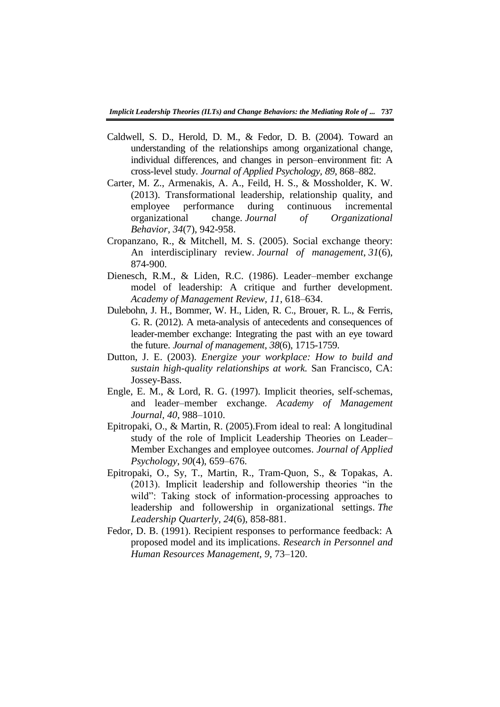- Caldwell, S. D., Herold, D. M., & Fedor, D. B. (2004). Toward an understanding of the relationships among organizational change, individual differences, and changes in person–environment fit: A cross-level study. *Journal of Applied Psychology, 89*, 868–882.
- Carter, M. Z., Armenakis, A. A., Feild, H. S., & Mossholder, K. W. (2013). Transformational leadership, relationship quality, and employee performance during continuous incremental organizational change. *Journal of Organizational Behavior*, *34*(7), 942-958.
- Cropanzano, R., & Mitchell, M. S. (2005). Social exchange theory: An interdisciplinary review. *Journal of management*, *31*(6), 874-900.
- Dienesch, R.M., & Liden, R.C. (1986). Leader–member exchange model of leadership: A critique and further development. *Academy of Management Review, 11*, 618–634.
- Dulebohn, J. H., Bommer, W. H., Liden, R. C., Brouer, R. L., & Ferris, G. R. (2012). A meta-analysis of antecedents and consequences of leader-member exchange: Integrating the past with an eye toward the future. *Journal of management*, *38*(6), 1715-1759.
- Dutton, J. E. (2003). *Energize your workplace: How to build and sustain high-quality relationships at work.* San Francisco, CA: Jossey-Bass.
- Engle, E. M., & Lord, R. G. (1997). Implicit theories, self-schemas, and leader–member exchange. *Academy of Management Journal, 40*, 988–1010.
- Epitropaki, O., & Martin, R. (2005).From ideal to real: A longitudinal study of the role of Implicit Leadership Theories on Leader– Member Exchanges and employee outcomes. *Journal of Applied Psychology, 90*(4), 659–676.
- Epitropaki, O., Sy, T., Martin, R., Tram-Quon, S., & Topakas, A.  $(2013)$ . Implicit leadership and followership theories "in the wild": Taking stock of information-processing approaches to leadership and followership in organizational settings. *The Leadership Quarterly*, *24*(6), 858-881.
- Fedor, D. B. (1991). Recipient responses to performance feedback: A proposed model and its implications. *Research in Personnel and Human Resources Management, 9*, 73–120.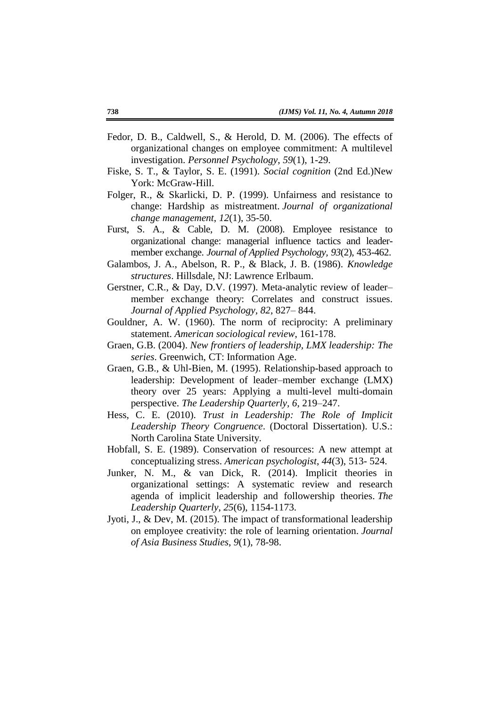- Fedor, D. B., Caldwell, S., & Herold, D. M. (2006). The effects of organizational changes on employee commitment: A multilevel investigation. *Personnel Psychology*, *59*(1), 1-29.
- Fiske, S. T., & Taylor, S. E. (1991). *Social cognition* (2nd Ed.)New York: McGraw-Hill.
- Folger, R., & Skarlicki, D. P. (1999). Unfairness and resistance to change: Hardship as mistreatment. *Journal of organizational change management*, *12*(1), 35-50.
- Furst, S. A., & Cable, D. M. (2008). Employee resistance to organizational change: managerial influence tactics and leadermember exchange. *Journal of Applied Psychology, 93*(2), 453-462.
- Galambos, J. A., Abelson, R. P., & Black, J. B. (1986). *Knowledge structures*. Hillsdale, NJ: Lawrence Erlbaum.
- Gerstner, C.R., & Day, D.V. (1997). Meta-analytic review of leader– member exchange theory: Correlates and construct issues. *Journal of Applied Psychology, 82*, 827– 844.
- Gouldner, A. W. (1960). The norm of reciprocity: A preliminary statement. *American sociological review*, 161-178.
- Graen, G.B. (2004). *New frontiers of leadership, LMX leadership: The series*. Greenwich, CT: Information Age.
- Graen, G.B., & Uhl-Bien, M. (1995). Relationship-based approach to leadership: Development of leader–member exchange (LMX) theory over 25 years: Applying a multi-level multi-domain perspective. *The Leadership Quarterly, 6*, 219–247.
- Hess, C. E. (2010). *Trust in Leadership: The Role of Implicit Leadership Theory Congruence*. (Doctoral Dissertation). U.S.: North Carolina State University.
- Hobfall, S. E. (1989). Conservation of resources: A new attempt at conceptualizing stress. *American psychologist*, *44*(3), 513- 524.
- Junker, N. M., & van Dick, R. (2014). Implicit theories in organizational settings: A systematic review and research agenda of implicit leadership and followership theories. *The Leadership Quarterly*, *25*(6), 1154-1173.
- Jyoti, J., & Dev, M. (2015). The impact of transformational leadership on employee creativity: the role of learning orientation. *Journal of Asia Business Studies*, *9*(1), 78-98.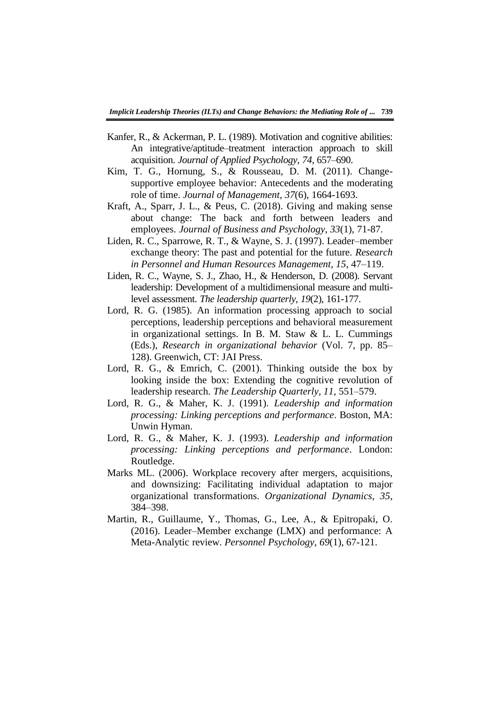- Kanfer, R., & Ackerman, P. L. (1989). Motivation and cognitive abilities: An integrative/aptitude–treatment interaction approach to skill acquisition. *Journal of Applied Psychology, 74*, 657–690.
- Kim, T. G., Hornung, S., & Rousseau, D. M. (2011). Changesupportive employee behavior: Antecedents and the moderating role of time. *Journal of Management*, *37*(6), 1664-1693.
- Kraft, A., Sparr, J. L., & Peus, C. (2018). Giving and making sense about change: The back and forth between leaders and employees. *Journal of Business and Psychology*, *33*(1), 71-87.
- Liden, R. C., Sparrowe, R. T., & Wayne, S. J. (1997). Leader–member exchange theory: The past and potential for the future. *Research in Personnel and Human Resources Management, 15*, 47–119.
- Liden, R. C., Wayne, S. J., Zhao, H., & Henderson, D. (2008). Servant leadership: Development of a multidimensional measure and multilevel assessment. *The leadership quarterly*, *19*(2), 161-177.
- Lord, R. G. (1985). An information processing approach to social perceptions, leadership perceptions and behavioral measurement in organizational settings. In B. M. Staw & L. L. Cummings (Eds.), *Research in organizational behavior* (Vol. 7, pp. 85– 128). Greenwich, CT: JAI Press.
- Lord, R. G., & Emrich, C. (2001). Thinking outside the box by looking inside the box: Extending the cognitive revolution of leadership research. *The Leadership Quarterly, 11*, 551–579.
- Lord, R. G., & Maher, K. J. (1991). *Leadership and information processing: Linking perceptions and performance*. Boston, MA: Unwin Hyman.
- Lord, R. G., & Maher, K. J. (1993). *Leadership and information processing: Linking perceptions and performance*. London: Routledge.
- Marks ML. (2006). Workplace recovery after mergers, acquisitions, and downsizing: Facilitating individual adaptation to major organizational transformations. *Organizational Dynamics, 35*, 384–398.
- Martin, R., Guillaume, Y., Thomas, G., Lee, A., & Epitropaki, O. (2016). Leader–Member exchange (LMX) and performance: A Meta-Analytic review. *Personnel Psychology*, *69*(1), 67-121.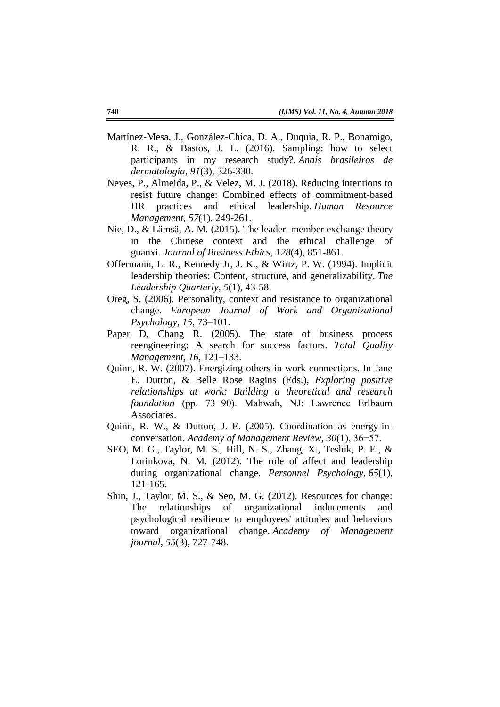- Martínez-Mesa, J., González-Chica, D. A., Duquia, R. P., Bonamigo, R. R., & Bastos, J. L. (2016). Sampling: how to select participants in my research study?. *Anais brasileiros de dermatologia*, *91*(3), 326-330.
- Neves, P., Almeida, P., & Velez, M. J. (2018). Reducing intentions to resist future change: Combined effects of commitment-based HR practices and ethical leadership. *Human Resource Management*, *57*(1), 249-261.
- Nie, D., & Lämsä, A. M. (2015). The leader–member exchange theory in the Chinese context and the ethical challenge of guanxi. *Journal of Business Ethics*, *128*(4), 851-861.
- Offermann, L. R., Kennedy Jr, J. K., & Wirtz, P. W. (1994). Implicit leadership theories: Content, structure, and generalizability. *The Leadership Quarterly*, *5*(1), 43-58.
- Oreg, S. (2006). Personality, context and resistance to organizational change. *European Journal of Work and Organizational Psychology, 15*, 73–101.
- Paper D, Chang R. (2005). The state of business process reengineering: A search for success factors. *Total Quality Management, 16*, 121–133.
- Quinn, R. W. (2007). Energizing others in work connections. In Jane E. Dutton, & Belle Rose Ragins (Eds.), *Exploring positive relationships at work: Building a theoretical and research foundation* (pp. 73−90). Mahwah, NJ: Lawrence Erlbaum Associates.
- Quinn, R. W., & Dutton, J. E. (2005). Coordination as energy-inconversation. *Academy of Management Review, 30*(1), 36−57.
- SEO, M. G., Taylor, M. S., Hill, N. S., Zhang, X., Tesluk, P. E., & Lorinkova, N. M. (2012). The role of affect and leadership during organizational change. *Personnel Psychology, 65*(1), 121-165.
- Shin, J., Taylor, M. S., & Seo, M. G. (2012). Resources for change: The relationships of organizational inducements and psychological resilience to employees' attitudes and behaviors toward organizational change. *Academy of Management journal*, *55*(3), 727-748.